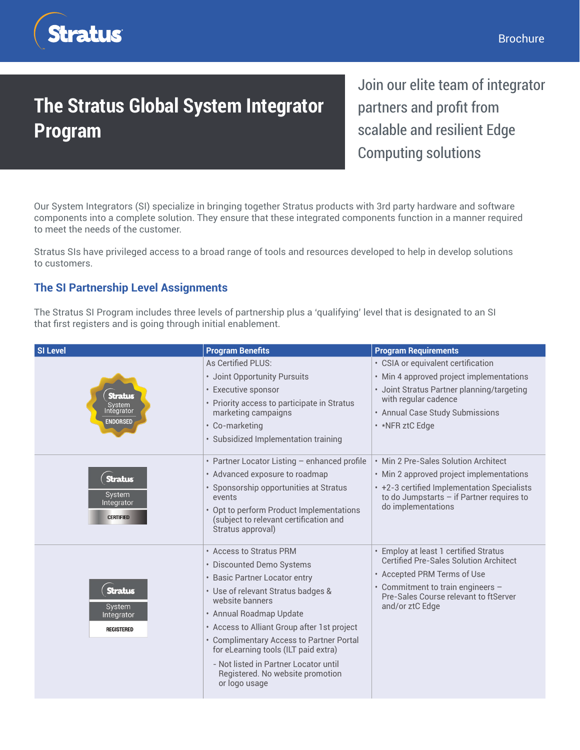

## **The Stratus Global System Integrator Program**

Join our elite team of integrator partners and profit from scalable and resilient Edge Computing solutions

Our System Integrators (SI) specialize in bringing together Stratus products with 3rd party hardware and software components into a complete solution. They ensure that these integrated components function in a manner required to meet the needs of the customer.

Stratus SIs have privileged access to a broad range of tools and resources developed to help in develop solutions to customers.

## **The SI Partnership Level Assignments**

The Stratus SI Program includes three levels of partnership plus a 'qualifying' level that is designated to an SI that first registers and is going through initial enablement.

| <b>SI Level</b>                                             | <b>Program Benefits</b>                                                                                                                                                                                                                                                                                                                                                                                    | <b>Program Requirements</b>                                                                                                                                                                                            |
|-------------------------------------------------------------|------------------------------------------------------------------------------------------------------------------------------------------------------------------------------------------------------------------------------------------------------------------------------------------------------------------------------------------------------------------------------------------------------------|------------------------------------------------------------------------------------------------------------------------------------------------------------------------------------------------------------------------|
| <b>Stratus</b><br>System<br>Integrator<br><b>ENDORSED</b>   | As Certified PLUS:<br>· Joint Opportunity Pursuits<br>• Executive sponsor<br>• Priority access to participate in Stratus<br>marketing campaigns<br>• Co-marketing<br>· Subsidized Implementation training                                                                                                                                                                                                  | • CSIA or equivalent certification<br>• Min 4 approved project implementations<br>· Joint Stratus Partner planning/targeting<br>with regular cadence<br>• Annual Case Study Submissions<br>• *NFR ztC Edge             |
| <b>Stratus</b><br>System<br>Integrator<br><b>CERTIFIED</b>  | • Partner Locator Listing - enhanced profile<br>• Advanced exposure to roadmap<br>· Sponsorship opportunities at Stratus<br>events<br>• Opt to perform Product Implementations<br>(subject to relevant certification and<br>Stratus approval)                                                                                                                                                              | • Min 2 Pre-Sales Solution Architect<br>• Min 2 approved project implementations<br>• +2-3 certified Implementation Specialists<br>to do Jumpstarts $-$ if Partner requires to<br>do implementations                   |
| <b>Stratus</b><br>System<br>Integrator<br><b>REGISTERED</b> | • Access to Stratus PRM<br>• Discounted Demo Systems<br>• Basic Partner Locator entry<br>· Use of relevant Stratus badges &<br>website banners<br>• Annual Roadmap Update<br>• Access to Alliant Group after 1st project<br>• Complimentary Access to Partner Portal<br>for eLearning tools (ILT paid extra)<br>- Not listed in Partner Locator until<br>Registered. No website promotion<br>or logo usage | • Employ at least 1 certified Stratus<br><b>Certified Pre-Sales Solution Architect</b><br>• Accepted PRM Terms of Use<br>• Commitment to train engineers -<br>Pre-Sales Course relevant to ftServer<br>and/or ztC Edge |